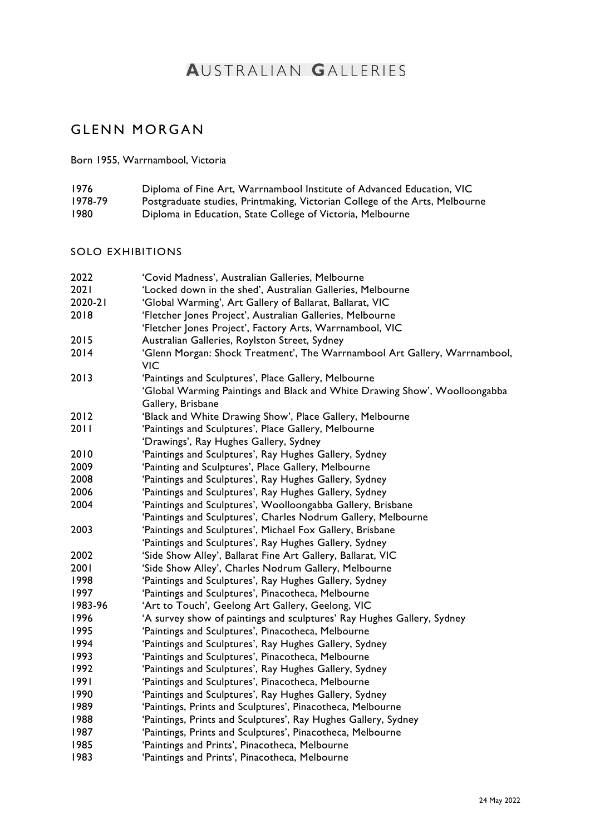# AUSTRALIAN GALLERIES

## GLENN MORGAN

Born 1955, Warrnambool, Victoria

| 1976    | Diploma of Fine Art, Warrnambool Institute of Advanced Education, VIC       |
|---------|-----------------------------------------------------------------------------|
| 1978-79 | Postgraduate studies, Printmaking, Victorian College of the Arts, Melbourne |
| 1980    | Diploma in Education, State College of Victoria, Melbourne                  |

#### SOLO EXHIBITIONS

| 2022    | 'Covid Madness', Australian Galleries, Melbourne                                                |
|---------|-------------------------------------------------------------------------------------------------|
| 2021    | 'Locked down in the shed', Australian Galleries, Melbourne                                      |
| 2020-21 | 'Global Warming', Art Gallery of Ballarat, Ballarat, VIC                                        |
| 2018    | 'Fletcher Jones Project', Australian Galleries, Melbourne                                       |
|         | 'Fletcher Jones Project', Factory Arts, Warrnambool, VIC                                        |
| 2015    | Australian Galleries, Roylston Street, Sydney                                                   |
| 2014    | 'Glenn Morgan: Shock Treatment', The Warrnambool Art Gallery, Warrnambool,<br><b>VIC</b>        |
| 2013    | 'Paintings and Sculptures', Place Gallery, Melbourne                                            |
|         | 'Global Warming Paintings and Black and White Drawing Show', Woolloongabba<br>Gallery, Brisbane |
| 2012    | 'Black and White Drawing Show', Place Gallery, Melbourne                                        |
| 2011    | 'Paintings and Sculptures', Place Gallery, Melbourne                                            |
|         | 'Drawings', Ray Hughes Gallery, Sydney                                                          |
| 2010    | 'Paintings and Sculptures', Ray Hughes Gallery, Sydney                                          |
| 2009    | 'Painting and Sculptures', Place Gallery, Melbourne                                             |
| 2008    | 'Paintings and Sculptures', Ray Hughes Gallery, Sydney                                          |
| 2006    | 'Paintings and Sculptures', Ray Hughes Gallery, Sydney                                          |
| 2004    | 'Paintings and Sculptures', Woolloongabba Gallery, Brisbane                                     |
|         | 'Paintings and Sculptures', Charles Nodrum Gallery, Melbourne                                   |
| 2003    | 'Paintings and Sculptures', Michael Fox Gallery, Brisbane                                       |
|         | 'Paintings and Sculptures', Ray Hughes Gallery, Sydney                                          |
| 2002    | 'Side Show Alley', Ballarat Fine Art Gallery, Ballarat, VIC                                     |
| 2001    | 'Side Show Alley', Charles Nodrum Gallery, Melbourne                                            |
| 1998    | 'Paintings and Sculptures', Ray Hughes Gallery, Sydney                                          |
| 1997    | 'Paintings and Sculptures', Pinacotheca, Melbourne                                              |
| 1983-96 | 'Art to Touch', Geelong Art Gallery, Geelong, VIC                                               |
| 1996    | 'A survey show of paintings and sculptures' Ray Hughes Gallery, Sydney                          |
| 1995    | 'Paintings and Sculptures', Pinacotheca, Melbourne                                              |
| 1994    | 'Paintings and Sculptures', Ray Hughes Gallery, Sydney                                          |
| 1993    | 'Paintings and Sculptures', Pinacotheca, Melbourne                                              |
| 1992    | 'Paintings and Sculptures', Ray Hughes Gallery, Sydney                                          |
| 1991    | 'Paintings and Sculptures', Pinacotheca, Melbourne                                              |
| 1990    | 'Paintings and Sculptures', Ray Hughes Gallery, Sydney                                          |
| 1989    | 'Paintings, Prints and Sculptures', Pinacotheca, Melbourne                                      |
| 1988    | 'Paintings, Prints and Sculptures', Ray Hughes Gallery, Sydney                                  |
| 1987    | 'Paintings, Prints and Sculptures', Pinacotheca, Melbourne                                      |
| 1985    | 'Paintings and Prints', Pinacotheca, Melbourne                                                  |
| 1983    | 'Paintings and Prints', Pinacotheca, Melbourne                                                  |
|         |                                                                                                 |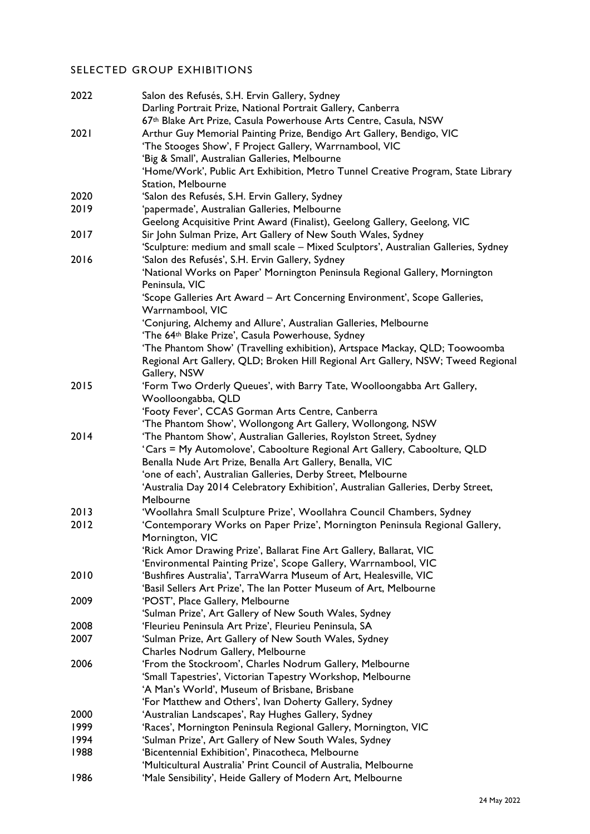## SELECTED GROUP EXHIBITIONS

| 2022 | Salon des Refusés, S.H. Ervin Gallery, Sydney                                       |
|------|-------------------------------------------------------------------------------------|
|      | Darling Portrait Prize, National Portrait Gallery, Canberra                         |
|      | 67 <sup>th</sup> Blake Art Prize, Casula Powerhouse Arts Centre, Casula, NSW        |
| 2021 | Arthur Guy Memorial Painting Prize, Bendigo Art Gallery, Bendigo, VIC               |
|      | 'The Stooges Show', F Project Gallery, Warrnambool, VIC                             |
|      | 'Big & Small', Australian Galleries, Melbourne                                      |
|      | 'Home/Work', Public Art Exhibition, Metro Tunnel Creative Program, State Library    |
|      | Station, Melbourne                                                                  |
| 2020 | 'Salon des Refusés, S.H. Ervin Gallery, Sydney                                      |
| 2019 | 'papermade', Australian Galleries, Melbourne                                        |
|      | Geelong Acquisitive Print Award (Finalist), Geelong Gallery, Geelong, VIC           |
| 2017 | Sir John Sulman Prize, Art Gallery of New South Wales, Sydney                       |
|      | 'Sculpture: medium and small scale - Mixed Sculptors', Australian Galleries, Sydney |
| 2016 | 'Salon des Refusés', S.H. Ervin Gallery, Sydney                                     |
|      | 'National Works on Paper' Mornington Peninsula Regional Gallery, Mornington         |
|      | Peninsula, VIC                                                                      |
|      | 'Scope Galleries Art Award - Art Concerning Environment', Scope Galleries,          |
|      | Warrnambool, VIC                                                                    |
|      | 'Conjuring, Alchemy and Allure', Australian Galleries, Melbourne                    |
|      | 'The 64th Blake Prize', Casula Powerhouse, Sydney                                   |
|      | 'The Phantom Show' (Travelling exhibition), Artspace Mackay, QLD; Toowoomba         |
|      | Regional Art Gallery, QLD; Broken Hill Regional Art Gallery, NSW; Tweed Regional    |
|      | Gallery, NSW                                                                        |
| 2015 | 'Form Two Orderly Queues', with Barry Tate, Woolloongabba Art Gallery,              |
|      | Woolloongabba, QLD                                                                  |
|      |                                                                                     |
|      | 'Footy Fever', CCAS Gorman Arts Centre, Canberra                                    |
|      | 'The Phantom Show', Wollongong Art Gallery, Wollongong, NSW                         |
| 2014 | 'The Phantom Show', Australian Galleries, Roylston Street, Sydney                   |
|      | 'Cars = My Automolove', Caboolture Regional Art Gallery, Caboolture, QLD            |
|      | Benalla Nude Art Prize, Benalla Art Gallery, Benalla, VIC                           |
|      | 'one of each', Australian Galleries, Derby Street, Melbourne                        |
|      | 'Australia Day 2014 Celebratory Exhibition', Australian Galleries, Derby Street,    |
|      | Melbourne                                                                           |
| 2013 | 'Woollahra Small Sculpture Prize', Woollahra Council Chambers, Sydney               |
| 2012 | 'Contemporary Works on Paper Prize', Mornington Peninsula Regional Gallery,         |
|      | Mornington, VIC                                                                     |
|      | 'Rick Amor Drawing Prize', Ballarat Fine Art Gallery, Ballarat, VIC                 |
|      | 'Environmental Painting Prize', Scope Gallery, Warrnambool, VIC                     |
| 2010 | 'Bushfires Australia', TarraWarra Museum of Art, Healesville, VIC                   |
|      | 'Basil Sellers Art Prize', The Ian Potter Museum of Art, Melbourne                  |
| 2009 | 'POST', Place Gallery, Melbourne                                                    |
|      | 'Sulman Prize', Art Gallery of New South Wales, Sydney                              |
| 2008 | 'Fleurieu Peninsula Art Prize', Fleurieu Peninsula, SA                              |
| 2007 | 'Sulman Prize, Art Gallery of New South Wales, Sydney                               |
|      | Charles Nodrum Gallery, Melbourne                                                   |
| 2006 | 'From the Stockroom', Charles Nodrum Gallery, Melbourne                             |
|      | 'Small Tapestries', Victorian Tapestry Workshop, Melbourne                          |
|      | 'A Man's World', Museum of Brisbane, Brisbane                                       |
|      | 'For Matthew and Others', Ivan Doherty Gallery, Sydney                              |
| 2000 | 'Australian Landscapes', Ray Hughes Gallery, Sydney                                 |
| 1999 | 'Races', Mornington Peninsula Regional Gallery, Mornington, VIC                     |
| 1994 | 'Sulman Prize', Art Gallery of New South Wales, Sydney                              |
| 1988 | 'Bicentennial Exhibition', Pinacotheca, Melbourne                                   |
|      | 'Multicultural Australia' Print Council of Australia, Melbourne                     |
| 1986 | 'Male Sensibility', Heide Gallery of Modern Art, Melbourne                          |
|      |                                                                                     |